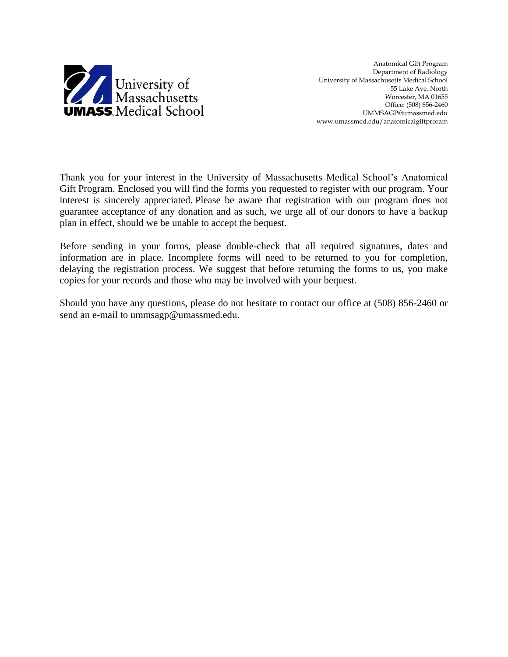

Anatomical Gift Program Department of Radiology University of Massachusetts Medical School 55 Lake Ave. North Worcester, MA 01655 Office: (508) 856-2460 UMMSAGP@umassmed.edu www.umassmed.edu/anatomicalgiftproram

Thank you for your interest in the University of Massachusetts Medical School's Anatomical Gift Program. Enclosed you will find the forms you requested to register with our program. Your interest is sincerely appreciated. Please be aware that registration with our program does not guarantee acceptance of any donation and as such, we urge all of our donors to have a backup plan in effect, should we be unable to accept the bequest.

Before sending in your forms, please double-check that all required signatures, dates and information are in place. Incomplete forms will need to be returned to you for completion, delaying the registration process. We suggest that before returning the forms to us, you make copies for your records and those who may be involved with your bequest.

Should you have any questions, please do not hesitate to contact our office at (508) 856-2460 or send an e-mail to ummsagp@umassmed.edu.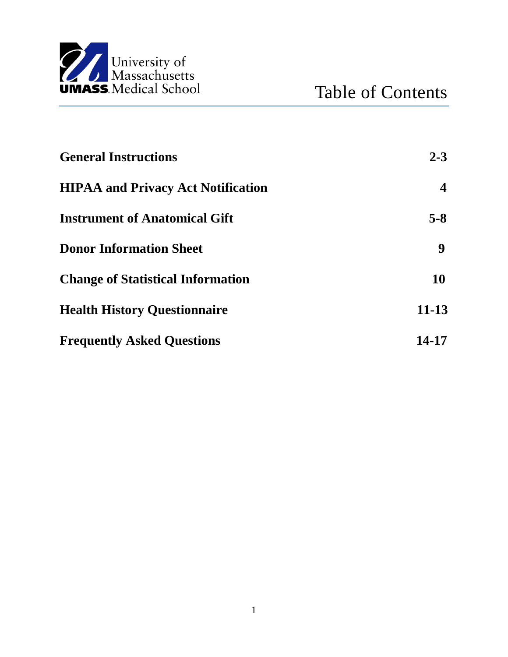

| <b>General Instructions</b>               | $2 - 3$          |
|-------------------------------------------|------------------|
| <b>HIPAA and Privacy Act Notification</b> | $\boldsymbol{4}$ |
| <b>Instrument of Anatomical Gift</b>      | $5-8$            |
| <b>Donor Information Sheet</b>            | 9                |
| <b>Change of Statistical Information</b>  | <b>10</b>        |
| <b>Health History Questionnaire</b>       | $11 - 13$        |
| <b>Frequently Asked Questions</b>         | 14-17            |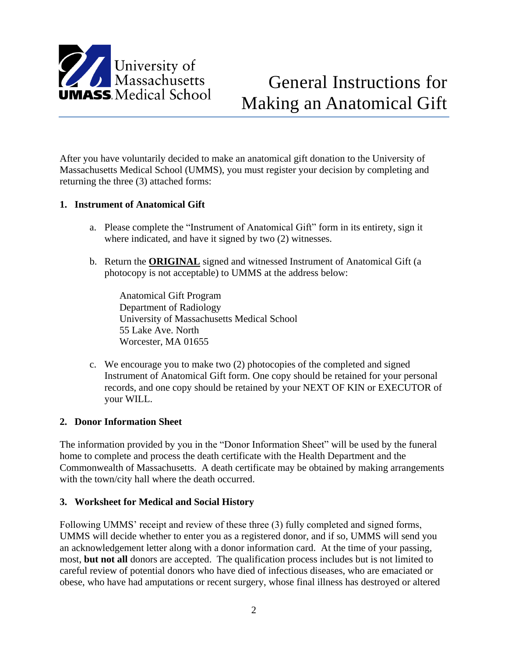

After you have voluntarily decided to make an anatomical gift donation to the University of Massachusetts Medical School (UMMS), you must register your decision by completing and returning the three (3) attached forms:

## **1. Instrument of Anatomical Gift**

- a. Please complete the "Instrument of Anatomical Gift" form in its entirety, sign it where indicated, and have it signed by two (2) witnesses.
- b. Return the **ORIGINAL** signed and witnessed Instrument of Anatomical Gift (a photocopy is not acceptable) to UMMS at the address below:

Anatomical Gift Program Department of Radiology University of Massachusetts Medical School 55 Lake Ave. North Worcester, MA 01655

c. We encourage you to make two (2) photocopies of the completed and signed Instrument of Anatomical Gift form. One copy should be retained for your personal records, and one copy should be retained by your NEXT OF KIN or EXECUTOR of your WILL.

#### **2. Donor Information Sheet**

The information provided by you in the "Donor Information Sheet" will be used by the funeral home to complete and process the death certificate with the Health Department and the Commonwealth of Massachusetts. A death certificate may be obtained by making arrangements with the town/city hall where the death occurred.

#### **3. Worksheet for Medical and Social History**

Following UMMS' receipt and review of these three (3) fully completed and signed forms, UMMS will decide whether to enter you as a registered donor, and if so, UMMS will send you an acknowledgement letter along with a donor information card. At the time of your passing, most, **but not all** donors are accepted. The qualification process includes but is not limited to careful review of potential donors who have died of infectious diseases, who are emaciated or obese, who have had amputations or recent surgery, whose final illness has destroyed or altered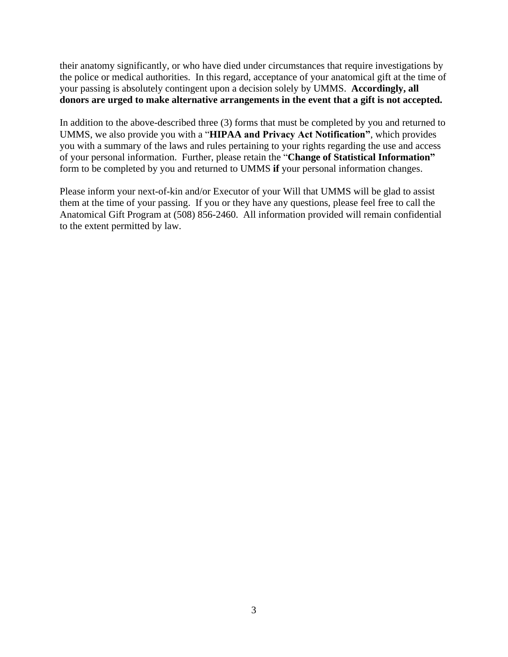their anatomy significantly, or who have died under circumstances that require investigations by the police or medical authorities. In this regard, acceptance of your anatomical gift at the time of your passing is absolutely contingent upon a decision solely by UMMS. **Accordingly, all donors are urged to make alternative arrangements in the event that a gift is not accepted.**

In addition to the above-described three (3) forms that must be completed by you and returned to UMMS, we also provide you with a "**HIPAA and Privacy Act Notification"**, which provides you with a summary of the laws and rules pertaining to your rights regarding the use and access of your personal information. Further, please retain the "**Change of Statistical Information"** form to be completed by you and returned to UMMS **if** your personal information changes.

Please inform your next-of-kin and/or Executor of your Will that UMMS will be glad to assist them at the time of your passing. If you or they have any questions, please feel free to call the Anatomical Gift Program at (508) 856-2460. All information provided will remain confidential to the extent permitted by law.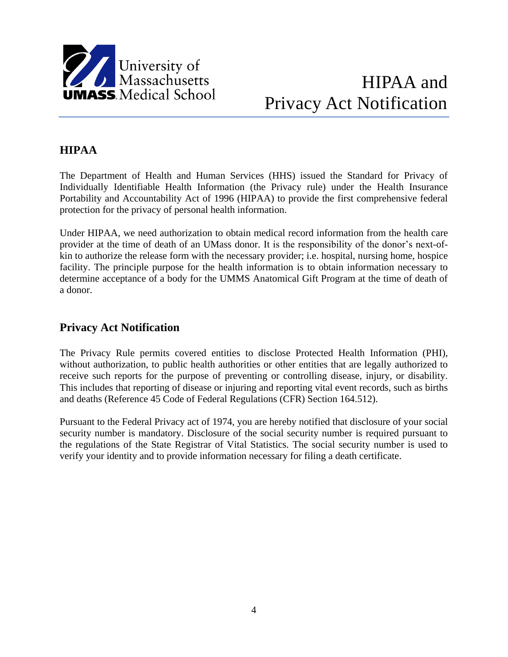

# HIPAA and Privacy Act Notification

## **HIPAA**

The Department of Health and Human Services (HHS) issued the Standard for Privacy of Individually Identifiable Health Information (the Privacy rule) under the Health Insurance Portability and Accountability Act of 1996 (HIPAA) to provide the first comprehensive federal protection for the privacy of personal health information.

Under HIPAA, we need authorization to obtain medical record information from the health care provider at the time of death of an UMass donor. It is the responsibility of the donor's next-ofkin to authorize the release form with the necessary provider; i.e. hospital, nursing home, hospice facility. The principle purpose for the health information is to obtain information necessary to determine acceptance of a body for the UMMS Anatomical Gift Program at the time of death of a donor.

## **Privacy Act Notification**

The Privacy Rule permits covered entities to disclose Protected Health Information (PHI), without authorization, to public health authorities or other entities that are legally authorized to receive such reports for the purpose of preventing or controlling disease, injury, or disability. This includes that reporting of disease or injuring and reporting vital event records, such as births and deaths (Reference 45 Code of Federal Regulations (CFR) Section 164.512).

Pursuant to the Federal Privacy act of 1974, you are hereby notified that disclosure of your social security number is mandatory. Disclosure of the social security number is required pursuant to the regulations of the State Registrar of Vital Statistics. The social security number is used to verify your identity and to provide information necessary for filing a death certificate.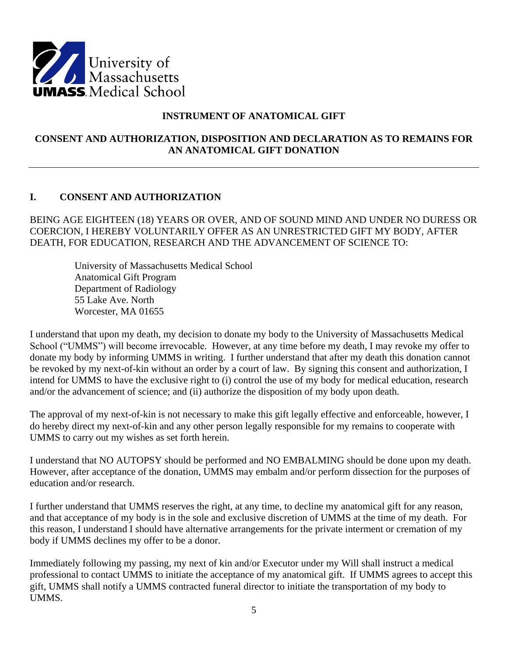

## **INSTRUMENT OF ANATOMICAL GIFT**

## **CONSENT AND AUTHORIZATION, DISPOSITION AND DECLARATION AS TO REMAINS FOR AN ANATOMICAL GIFT DONATION**

## **I. CONSENT AND AUTHORIZATION**

BEING AGE EIGHTEEN (18) YEARS OR OVER, AND OF SOUND MIND AND UNDER NO DURESS OR COERCION, I HEREBY VOLUNTARILY OFFER AS AN UNRESTRICTED GIFT MY BODY, AFTER DEATH, FOR EDUCATION, RESEARCH AND THE ADVANCEMENT OF SCIENCE TO:

University of Massachusetts Medical School Anatomical Gift Program Department of Radiology 55 Lake Ave. North Worcester, MA 01655

I understand that upon my death, my decision to donate my body to the University of Massachusetts Medical School ("UMMS") will become irrevocable. However, at any time before my death, I may revoke my offer to donate my body by informing UMMS in writing. I further understand that after my death this donation cannot be revoked by my next-of-kin without an order by a court of law. By signing this consent and authorization, I intend for UMMS to have the exclusive right to (i) control the use of my body for medical education, research and/or the advancement of science; and (ii) authorize the disposition of my body upon death.

The approval of my next-of-kin is not necessary to make this gift legally effective and enforceable, however, I do hereby direct my next-of-kin and any other person legally responsible for my remains to cooperate with UMMS to carry out my wishes as set forth herein.

I understand that NO AUTOPSY should be performed and NO EMBALMING should be done upon my death. However, after acceptance of the donation, UMMS may embalm and/or perform dissection for the purposes of education and/or research.

I further understand that UMMS reserves the right, at any time, to decline my anatomical gift for any reason, and that acceptance of my body is in the sole and exclusive discretion of UMMS at the time of my death. For this reason, I understand I should have alternative arrangements for the private interment or cremation of my body if UMMS declines my offer to be a donor.

Immediately following my passing, my next of kin and/or Executor under my Will shall instruct a medical professional to contact UMMS to initiate the acceptance of my anatomical gift. If UMMS agrees to accept this gift, UMMS shall notify a UMMS contracted funeral director to initiate the transportation of my body to UMMS.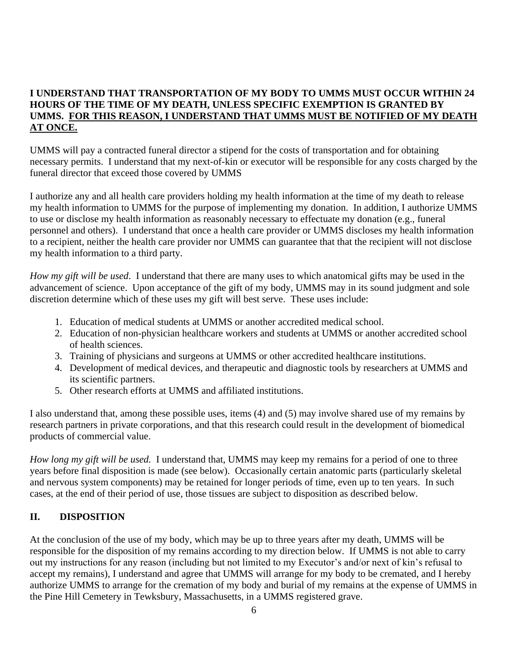## **I UNDERSTAND THAT TRANSPORTATION OF MY BODY TO UMMS MUST OCCUR WITHIN 24 HOURS OF THE TIME OF MY DEATH, UNLESS SPECIFIC EXEMPTION IS GRANTED BY UMMS. FOR THIS REASON, I UNDERSTAND THAT UMMS MUST BE NOTIFIED OF MY DEATH AT ONCE.**

UMMS will pay a contracted funeral director a stipend for the costs of transportation and for obtaining necessary permits. I understand that my next-of-kin or executor will be responsible for any costs charged by the funeral director that exceed those covered by UMMS

I authorize any and all health care providers holding my health information at the time of my death to release my health information to UMMS for the purpose of implementing my donation. In addition, I authorize UMMS to use or disclose my health information as reasonably necessary to effectuate my donation (e.g., funeral personnel and others). I understand that once a health care provider or UMMS discloses my health information to a recipient, neither the health care provider nor UMMS can guarantee that that the recipient will not disclose my health information to a third party.

*How my gift will be used*. I understand that there are many uses to which anatomical gifts may be used in the advancement of science. Upon acceptance of the gift of my body, UMMS may in its sound judgment and sole discretion determine which of these uses my gift will best serve. These uses include:

- 1. Education of medical students at UMMS or another accredited medical school.
- 2. Education of non-physician healthcare workers and students at UMMS or another accredited school of health sciences.
- 3. Training of physicians and surgeons at UMMS or other accredited healthcare institutions.
- 4. Development of medical devices, and therapeutic and diagnostic tools by researchers at UMMS and its scientific partners.
- 5. Other research efforts at UMMS and affiliated institutions.

I also understand that, among these possible uses, items (4) and (5) may involve shared use of my remains by research partners in private corporations, and that this research could result in the development of biomedical products of commercial value.

*How long my gift will be used.* I understand that, UMMS may keep my remains for a period of one to three years before final disposition is made (see below). Occasionally certain anatomic parts (particularly skeletal and nervous system components) may be retained for longer periods of time, even up to ten years. In such cases, at the end of their period of use, those tissues are subject to disposition as described below.

## **II. DISPOSITION**

At the conclusion of the use of my body, which may be up to three years after my death, UMMS will be responsible for the disposition of my remains according to my direction below. If UMMS is not able to carry out my instructions for any reason (including but not limited to my Executor's and/or next of kin's refusal to accept my remains), I understand and agree that UMMS will arrange for my body to be cremated, and I hereby authorize UMMS to arrange for the cremation of my body and burial of my remains at the expense of UMMS in the Pine Hill Cemetery in Tewksbury, Massachusetts, in a UMMS registered grave.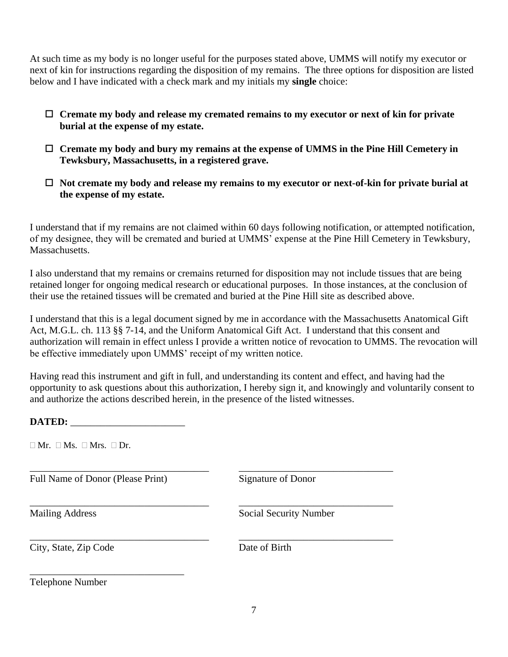At such time as my body is no longer useful for the purposes stated above, UMMS will notify my executor or next of kin for instructions regarding the disposition of my remains. The three options for disposition are listed below and I have indicated with a check mark and my initials my **single** choice:

- **Cremate my body and release my cremated remains to my executor or next of kin for private burial at the expense of my estate.**
- **Cremate my body and bury my remains at the expense of UMMS in the Pine Hill Cemetery in Tewksbury, Massachusetts, in a registered grave.**
- **Not cremate my body and release my remains to my executor or next-of-kin for private burial at the expense of my estate.**

I understand that if my remains are not claimed within 60 days following notification, or attempted notification, of my designee, they will be cremated and buried at UMMS' expense at the Pine Hill Cemetery in Tewksbury, Massachusetts.

I also understand that my remains or cremains returned for disposition may not include tissues that are being retained longer for ongoing medical research or educational purposes. In those instances, at the conclusion of their use the retained tissues will be cremated and buried at the Pine Hill site as described above.

I understand that this is a legal document signed by me in accordance with the Massachusetts Anatomical Gift Act, M.G.L. ch. 113 §§ 7-14, and the Uniform Anatomical Gift Act. I understand that this consent and authorization will remain in effect unless I provide a written notice of revocation to UMMS. The revocation will be effective immediately upon UMMS' receipt of my written notice.

Having read this instrument and gift in full, and understanding its content and effect, and having had the opportunity to ask questions about this authorization, I hereby sign it, and knowingly and voluntarily consent to and authorize the actions described herein, in the presence of the listed witnesses.

\_\_\_\_\_\_\_\_\_\_\_\_\_\_\_\_\_\_\_\_\_\_\_\_\_\_\_\_\_\_\_\_\_\_\_\_ \_\_\_\_\_\_\_\_\_\_\_\_\_\_\_\_\_\_\_\_\_\_\_\_\_\_\_\_\_\_\_

**DATED:** \_\_\_\_\_\_\_\_\_\_\_\_\_\_\_\_\_\_\_\_\_\_\_

 $\Box$  Mr.  $\Box$  Ms.  $\Box$  Mrs.  $\Box$  Dr.

Full Name of Donor (Please Print) Signature of Donor

\_\_\_\_\_\_\_\_\_\_\_\_\_\_\_\_\_\_\_\_\_\_\_\_\_\_\_\_\_\_\_

\_\_\_\_\_\_\_\_\_\_\_\_\_\_\_\_\_\_\_\_\_\_\_\_\_\_\_\_\_\_\_\_\_\_\_\_ \_\_\_\_\_\_\_\_\_\_\_\_\_\_\_\_\_\_\_\_\_\_\_\_\_\_\_\_\_\_\_ Mailing Address Social Security Number

City, State, Zip Code Date of Birth

\_\_\_\_\_\_\_\_\_\_\_\_\_\_\_\_\_\_\_\_\_\_\_\_\_\_\_\_\_\_\_\_\_\_\_\_ \_\_\_\_\_\_\_\_\_\_\_\_\_\_\_\_\_\_\_\_\_\_\_\_\_\_\_\_\_\_\_

Telephone Number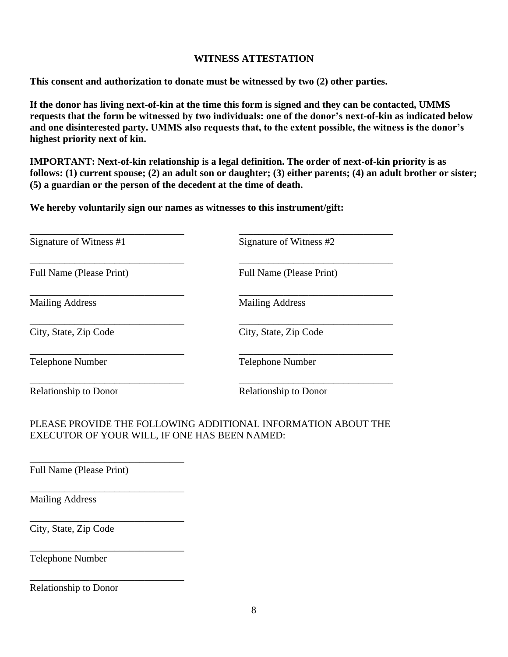### **WITNESS ATTESTATION**

**This consent and authorization to donate must be witnessed by two (2) other parties.**

**If the donor has living next-of-kin at the time this form is signed and they can be contacted, UMMS requests that the form be witnessed by two individuals: one of the donor's next-of-kin as indicated below and one disinterested party. UMMS also requests that, to the extent possible, the witness is the donor's highest priority next of kin.**

**IMPORTANT: Next-of-kin relationship is a legal definition. The order of next-of-kin priority is as follows: (1) current spouse; (2) an adult son or daughter; (3) either parents; (4) an adult brother or sister; (5) a guardian or the person of the decedent at the time of death.**

**We hereby voluntarily sign our names as witnesses to this instrument/gift:**

| Signature of Witness #1      | Signature of Witness #2         |
|------------------------------|---------------------------------|
| Full Name (Please Print)     | <b>Full Name (Please Print)</b> |
| <b>Mailing Address</b>       | <b>Mailing Address</b>          |
| City, State, Zip Code        | City, State, Zip Code           |
| <b>Telephone Number</b>      | <b>Telephone Number</b>         |
| <b>Relationship to Donor</b> | <b>Relationship to Donor</b>    |

## PLEASE PROVIDE THE FOLLOWING ADDITIONAL INFORMATION ABOUT THE EXECUTOR OF YOUR WILL, IF ONE HAS BEEN NAMED:

Full Name (Please Print)

\_\_\_\_\_\_\_\_\_\_\_\_\_\_\_\_\_\_\_\_\_\_\_\_\_\_\_\_\_\_\_

\_\_\_\_\_\_\_\_\_\_\_\_\_\_\_\_\_\_\_\_\_\_\_\_\_\_\_\_\_\_\_

\_\_\_\_\_\_\_\_\_\_\_\_\_\_\_\_\_\_\_\_\_\_\_\_\_\_\_\_\_\_\_

\_\_\_\_\_\_\_\_\_\_\_\_\_\_\_\_\_\_\_\_\_\_\_\_\_\_\_\_\_\_\_

\_\_\_\_\_\_\_\_\_\_\_\_\_\_\_\_\_\_\_\_\_\_\_\_\_\_\_\_\_\_\_

Mailing Address

City, State, Zip Code

Telephone Number

Relationship to Donor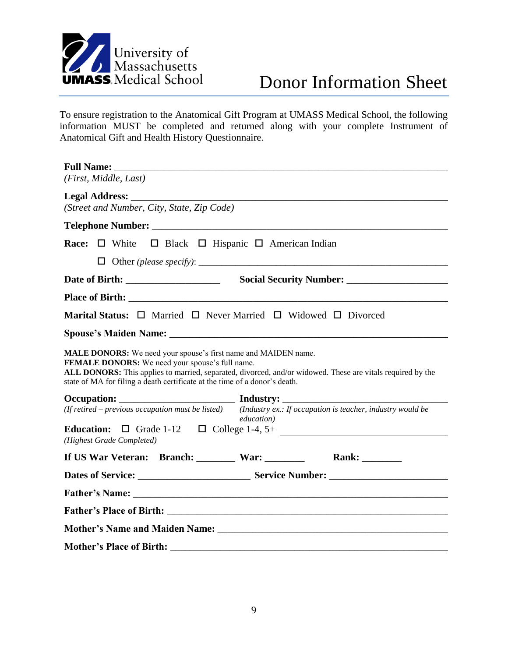

To ensure registration to the Anatomical Gift Program at UMASS Medical School, the following information MUST be completed and returned along with your complete Instrument of Anatomical Gift and Health History Questionnaire.

| (First, Middle, Last)                                                                                                                                                                    |                    |  |
|------------------------------------------------------------------------------------------------------------------------------------------------------------------------------------------|--------------------|--|
|                                                                                                                                                                                          |                    |  |
| (Street and Number, City, State, Zip Code)                                                                                                                                               |                    |  |
|                                                                                                                                                                                          |                    |  |
| Race: $\Box$ White $\Box$ Black $\Box$ Hispanic $\Box$ American Indian                                                                                                                   |                    |  |
|                                                                                                                                                                                          |                    |  |
|                                                                                                                                                                                          |                    |  |
|                                                                                                                                                                                          |                    |  |
| <b>Marital Status:</b> $\Box$ Married $\Box$ Never Married $\Box$ Widowed $\Box$ Divorced                                                                                                |                    |  |
|                                                                                                                                                                                          |                    |  |
| ALL DONORS: This applies to married, separated, divorced, and/or widowed. These are vitals required by the<br>state of MA for filing a death certificate at the time of a donor's death. |                    |  |
| (If retired – previous occupation must be listed) (Industry ex.: If occupation is teacher, industry would be                                                                             |                    |  |
|                                                                                                                                                                                          | <i>education</i> ) |  |
| (Highest Grade Completed)                                                                                                                                                                |                    |  |
| If US War Veteran: Branch: War: War: Rank: Mank:                                                                                                                                         |                    |  |
|                                                                                                                                                                                          |                    |  |
|                                                                                                                                                                                          |                    |  |
|                                                                                                                                                                                          |                    |  |
|                                                                                                                                                                                          |                    |  |
| <b>Mother's Place of Birth:</b>                                                                                                                                                          |                    |  |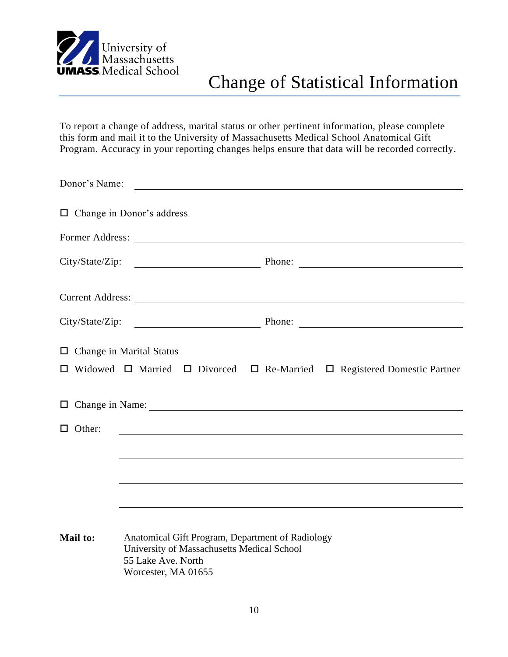

To report a change of address, marital status or other pertinent information, please complete this form and mail it to the University of Massachusetts Medical School Anatomical Gift Program. Accuracy in your reporting changes helps ensure that data will be recorded correctly.

| Donor's Name:                   |                                                                                                                                             |                                                                                                    |
|---------------------------------|---------------------------------------------------------------------------------------------------------------------------------------------|----------------------------------------------------------------------------------------------------|
|                                 | $\Box$ Change in Donor's address                                                                                                            |                                                                                                    |
|                                 |                                                                                                                                             |                                                                                                    |
|                                 |                                                                                                                                             |                                                                                                    |
|                                 |                                                                                                                                             |                                                                                                    |
|                                 |                                                                                                                                             |                                                                                                    |
| $\Box$ Change in Marital Status |                                                                                                                                             | $\Box$ Widowed $\Box$ Married $\Box$ Divorced $\Box$ Re-Married $\Box$ Registered Domestic Partner |
|                                 |                                                                                                                                             |                                                                                                    |
| $\Box$ Other:                   | <u> 1980 - Johann John Stone, markin film yn y brening yn y brening y brening yn y brening y brening yn y brenin</u>                        |                                                                                                    |
|                                 |                                                                                                                                             |                                                                                                    |
|                                 |                                                                                                                                             |                                                                                                    |
|                                 |                                                                                                                                             |                                                                                                    |
| Mail to:                        | Anatomical Gift Program, Department of Radiology<br>University of Massachusetts Medical School<br>55 Lake Ave. North<br>Worcester, MA 01655 |                                                                                                    |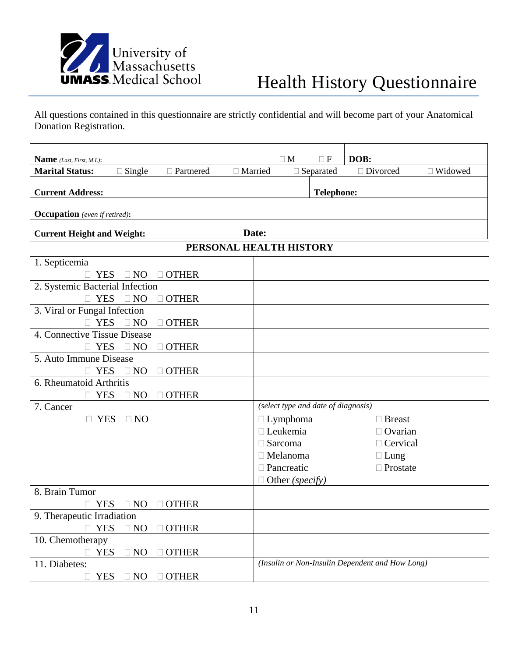

All questions contained in this questionnaire are strictly confidential and will become part of your Anatomical Donation Registration.

| <b>Name</b> (Last, First, M.I.):     |                                            |              |           | $\Box$ M          | $\Box F$                            | DOB:                                            |                |
|--------------------------------------|--------------------------------------------|--------------|-----------|-------------------|-------------------------------------|-------------------------------------------------|----------------|
| <b>Marital Status:</b>               | $\Box$ Single                              | □ Partnered  | □ Married |                   | $\Box$ Separated                    | □ Divorced                                      | $\Box$ Widowed |
|                                      |                                            |              |           |                   |                                     |                                                 |                |
| <b>Current Address:</b>              |                                            |              |           |                   | <b>Telephone:</b>                   |                                                 |                |
| <b>Occupation</b> (even if retired): |                                            |              |           |                   |                                     |                                                 |                |
|                                      | Date:<br><b>Current Height and Weight:</b> |              |           |                   |                                     |                                                 |                |
| PERSONAL HEALTH HISTORY              |                                            |              |           |                   |                                     |                                                 |                |
| 1. Septicemia                        |                                            |              |           |                   |                                     |                                                 |                |
| <b>YES</b>                           | $\Box$ NO                                  | $\Box$ OTHER |           |                   |                                     |                                                 |                |
| 2. Systemic Bacterial Infection      |                                            |              |           |                   |                                     |                                                 |                |
| <b>YES</b><br>$\Box$                 | $\Box$ NO                                  | $\Box$ OTHER |           |                   |                                     |                                                 |                |
| 3. Viral or Fungal Infection         |                                            |              |           |                   |                                     |                                                 |                |
|                                      | YES DNO                                    | $\Box$ OTHER |           |                   |                                     |                                                 |                |
| 4. Connective Tissue Disease         |                                            |              |           |                   |                                     |                                                 |                |
|                                      | YES ONO                                    | $\Box$ OTHER |           |                   |                                     |                                                 |                |
| 5. Auto Immune Disease               |                                            |              |           |                   |                                     |                                                 |                |
| <b>YES</b><br>П                      | $\Box$ NO                                  | $\Box$ OTHER |           |                   |                                     |                                                 |                |
| 6. Rheumatoid Arthritis              |                                            |              |           |                   |                                     |                                                 |                |
| <b>YES</b>                           | $\Box$ NO                                  | $\Box$ OTHER |           |                   |                                     |                                                 |                |
| 7. Cancer                            |                                            |              |           |                   | (select type and date of diagnosis) |                                                 |                |
|                                      | $\Box$ YES $\Box$ NO                       |              |           | $\Box$ Lymphoma   |                                     | $\Box$ Breast                                   |                |
|                                      |                                            |              |           | □ Leukemia        |                                     | $\Box$ Ovarian                                  |                |
|                                      |                                            |              |           | $\Box$ Sarcoma    |                                     | □ Cervical                                      |                |
|                                      |                                            |              |           | $\Box$ Melanoma   |                                     | $\Box$ Lung                                     |                |
|                                      |                                            |              |           | $\Box$ Pancreatic |                                     | $\Box$ Prostate                                 |                |
|                                      |                                            |              |           | Other (specify)   |                                     |                                                 |                |
| 8. Brain Tumor                       |                                            |              |           |                   |                                     |                                                 |                |
| <b>YES</b>                           | $\Box$ NO                                  | <b>OTHER</b> |           |                   |                                     |                                                 |                |
| 9. Therapeutic Irradiation           |                                            |              |           |                   |                                     |                                                 |                |
| <b>YES</b>                           | $\Box$ NO                                  | $\Box$ OTHER |           |                   |                                     |                                                 |                |
| 10. Chemotherapy                     |                                            |              |           |                   |                                     |                                                 |                |
| <b>YES</b>                           | $\Box$ NO                                  | <b>OTHER</b> |           |                   |                                     |                                                 |                |
| 11. Diabetes:                        |                                            |              |           |                   |                                     | (Insulin or Non-Insulin Dependent and How Long) |                |
| <b>YES</b>                           | $\Box$ NO                                  | $\Box$ OTHER |           |                   |                                     |                                                 |                |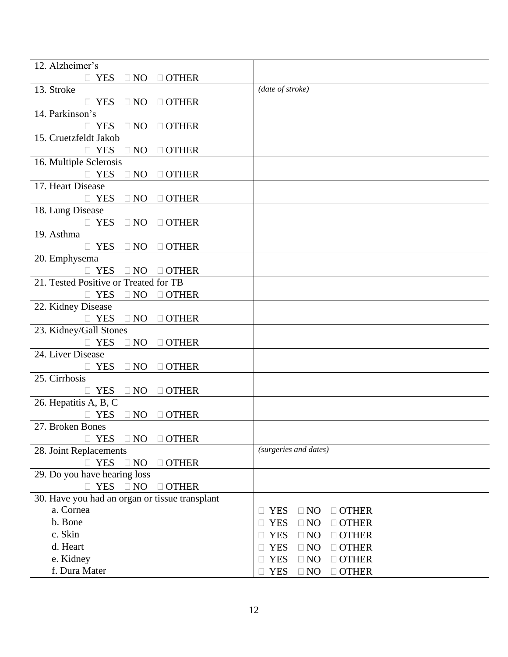| 12. Alzheimer's                                                        |                                               |
|------------------------------------------------------------------------|-----------------------------------------------|
| $\Box$ YES $\Box$ NO $\Box$ OTHER                                      |                                               |
| 13. Stroke                                                             | (date of stroke)                              |
| $\Box$ YES $\Box$ NO $\Box$ OTHER                                      |                                               |
| 14. Parkinson's                                                        |                                               |
| $\Box$ YES $\Box$ NO $\Box$ OTHER                                      |                                               |
| 15. Cruetzfeldt Jakob                                                  |                                               |
| $\Box$ YES $\Box$ NO $\Box$ OTHER                                      |                                               |
| 16. Multiple Sclerosis                                                 |                                               |
| $\Box$ YES<br>$\Box$ NO $\Box$ OTHER                                   |                                               |
| 17. Heart Disease                                                      |                                               |
| $\Box$ YES $\Box$ NO $\Box$ OTHER                                      |                                               |
| 18. Lung Disease                                                       |                                               |
| $\Box$ YES $\Box$ NO $\Box$ OTHER                                      |                                               |
| 19. Asthma                                                             |                                               |
| $\Box$ YES $\Box$ NO $\Box$ OTHER                                      |                                               |
| 20. Emphysema                                                          |                                               |
| $\Box$ YES $\Box$ NO $\Box$ OTHER                                      |                                               |
| 21. Tested Positive or Treated for TB                                  |                                               |
| $\Box$ YES $\Box$ NO $\Box$ OTHER                                      |                                               |
| 22. Kidney Disease                                                     |                                               |
| $\Box$ YES $\Box$ NO $\Box$ OTHER                                      |                                               |
| 23. Kidney/Gall Stones                                                 |                                               |
| $\Box$ YES<br>$\Box$ NO $\Box$ OTHER                                   |                                               |
| 24. Liver Disease                                                      |                                               |
| YES ONO<br>$\Box$ OTHER                                                |                                               |
| 25. Cirrhosis                                                          |                                               |
| $\Box$ YES $\Box$ NO $\Box$ OTHER                                      |                                               |
| 26. Hepatitis A, B, C                                                  |                                               |
| $\Box$ YES $\Box$ NO $\Box$ OTHER                                      |                                               |
| 27. Broken Bones                                                       |                                               |
| $\Box$ NO<br><b>YES</b><br>$\Box$ OTHER                                | (surgeries and dates)                         |
| 28. Joint Replacements                                                 |                                               |
| <b>YES</b><br>$\Box$ NO<br>$\Box$ OTHER<br>П                           |                                               |
| 29. Do you have hearing loss<br>$\Box$ OTHER                           |                                               |
| $\Box$ YES $\Box$ NO<br>30. Have you had an organ or tissue transplant |                                               |
| a. Cornea                                                              | $\Box$ NO<br><b>YES</b><br>$\Box$ OTHER       |
| b. Bone                                                                | $\square$ NO<br><b>YES</b><br>$\Box$ OTHER    |
| c. Skin                                                                | <b>YES</b><br>$\square$ NO<br>$\Box$ OTHER    |
| d. Heart                                                               | $\square$ NO<br><b>YES</b><br>$\Box$ OTHER    |
| e. Kidney                                                              | <b>YES</b><br>$\square$ NO<br>$\Box$ OTHER    |
|                                                                        |                                               |
| f. Dura Mater                                                          | <b>YES</b><br>$\square$<br>NO<br>$\Box$ OTHER |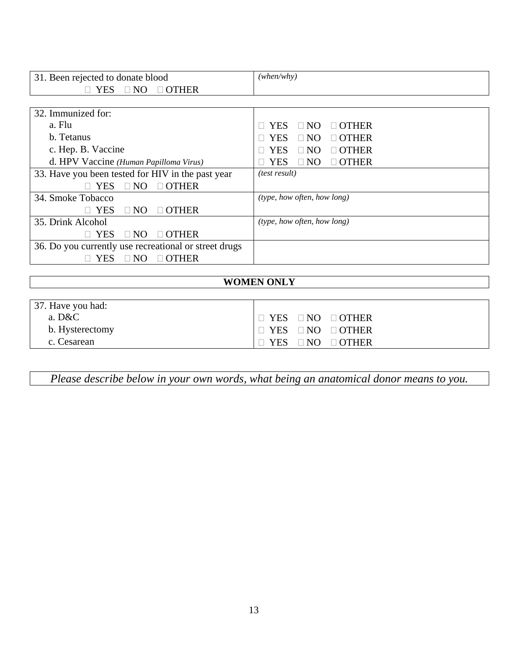| 31. Been rejected to donate blood                     | (when/why)                              |
|-------------------------------------------------------|-----------------------------------------|
| $\Box$ NO $\Box$ OTHER<br>$\Box$ YES                  |                                         |
|                                                       |                                         |
| 32. Immunized for:                                    |                                         |
| a. Flu                                                | $\Box$ OTHER<br><b>YES</b><br>$\Box$ NO |
| b. Tetanus                                            | $\Box$ OTHER<br><b>YES</b><br>$\Box$ NO |
| c. Hep. B. Vaccine                                    | $\Box$ NO<br>$\Box$ OTHER<br><b>YES</b> |
| d. HPV Vaccine (Human Papilloma Virus)                | $\Box$ OTHER<br>$\Box$ NO<br>YES        |
| 33. Have you been tested for HIV in the past year     | <i>(test result)</i>                    |
| $\Box$ NO<br><b>YES</b><br>$\Box$ OTHER               |                                         |
| 34. Smoke Tobacco                                     | (type, how often, how long)             |
| $\Box$ OTHER<br><b>YES</b><br>$\Box$ NO               |                                         |
| 35. Drink Alcohol                                     | (type, how often, how long)             |
| <b>YES</b><br>$\Box$ OTHER<br>$\Box$ NO               |                                         |
| 36. Do you currently use recreational or street drugs |                                         |
| $\Box$ OTHER<br>YES<br>NO.                            |                                         |

# **WOMEN ONLY**

| 37. Have you had: |                                   |
|-------------------|-----------------------------------|
| a. D&C            | $\Box$ YES $\Box$ NO $\Box$ OTHER |
| b. Hysterectomy   | $\Box$ YES $\Box$ NO $\Box$ OTHER |
| c. Cesarean       | $\Box$ YES $\Box$ NO $\Box$ OTHER |

*Please describe below in your own words, what being an anatomical donor means to you.*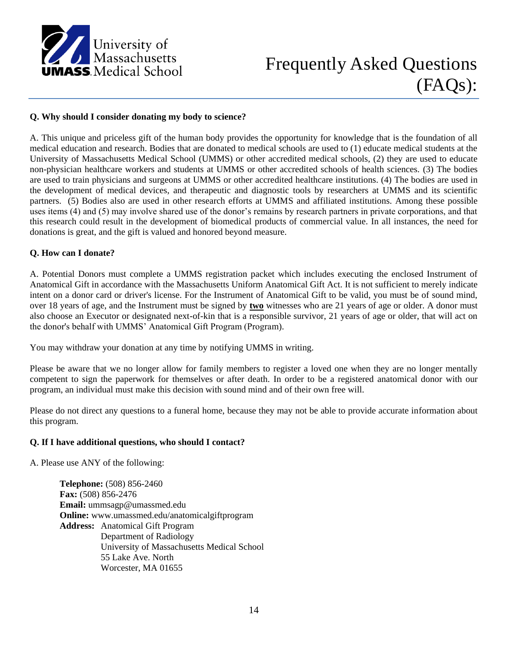

#### **Q. Why should I consider donating my body to science?**

A. This unique and priceless gift of the human body provides the opportunity for knowledge that is the foundation of all medical education and research. Bodies that are donated to medical schools are used to (1) educate medical students at the University of Massachusetts Medical School (UMMS) or other accredited medical schools, (2) they are used to educate non-physician healthcare workers and students at UMMS or other accredited schools of health sciences. (3) The bodies are used to train physicians and surgeons at UMMS or other accredited healthcare institutions. (4) The bodies are used in the development of medical devices, and therapeutic and diagnostic tools by researchers at UMMS and its scientific partners. (5) Bodies also are used in other research efforts at UMMS and affiliated institutions. Among these possible uses items (4) and (5) may involve shared use of the donor's remains by research partners in private corporations, and that this research could result in the development of biomedical products of commercial value. In all instances, the need for donations is great, and the gift is valued and honored beyond measure.

#### **Q. How can I donate?**

A. Potential Donors must complete a UMMS registration packet which includes executing the enclosed Instrument of Anatomical Gift in accordance with the Massachusetts Uniform Anatomical Gift Act. It is not sufficient to merely indicate intent on a donor card or driver's license. For the Instrument of Anatomical Gift to be valid, you must be of sound mind, over 18 years of age, and the Instrument must be signed by **two** witnesses who are 21 years of age or older. A donor must also choose an Executor or designated next-of-kin that is a responsible survivor, 21 years of age or older, that will act on the donor's behalf with UMMS' Anatomical Gift Program (Program).

You may withdraw your donation at any time by notifying UMMS in writing.

Please be aware that we no longer allow for family members to register a loved one when they are no longer mentally competent to sign the paperwork for themselves or after death. In order to be a registered anatomical donor with our program, an individual must make this decision with sound mind and of their own free will.

Please do not direct any questions to a funeral home, because they may not be able to provide accurate information about this program.

#### **Q. If I have additional questions, who should I contact?**

A. Please use ANY of the following:

**Telephone:** (508) 856-2460 **Fax:** (508) 856-2476 **Email:** ummsagp@umassmed.edu **Online:** www.umassmed.edu/anatomicalgiftprogram **Address:** Anatomical Gift Program Department of Radiology University of Massachusetts Medical School 55 Lake Ave. North Worcester, MA 01655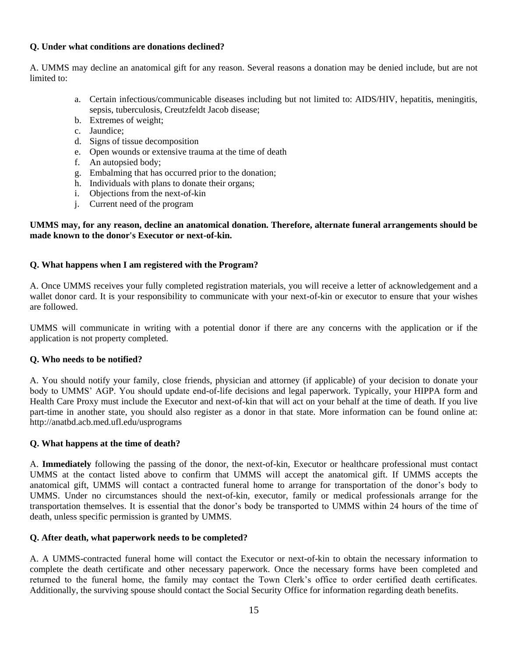#### **Q. Under what conditions are donations declined?**

A. UMMS may decline an anatomical gift for any reason. Several reasons a donation may be denied include, but are not limited to:

- a. Certain infectious/communicable diseases including but not limited to: AIDS/HIV, hepatitis, meningitis, sepsis, tuberculosis, Creutzfeldt Jacob disease;
- b. Extremes of weight;
- c. Jaundice;
- d. Signs of tissue decomposition
- e. Open wounds or extensive trauma at the time of death
- f. An autopsied body;
- g. Embalming that has occurred prior to the donation;
- h. Individuals with plans to donate their organs;
- i. Objections from the next-of-kin
- j. Current need of the program

#### **UMMS may, for any reason, decline an anatomical donation. Therefore, alternate funeral arrangements should be made known to the donor's Executor or next-of-kin.**

#### **Q. What happens when I am registered with the Program?**

A. Once UMMS receives your fully completed registration materials, you will receive a letter of acknowledgement and a wallet donor card. It is your responsibility to communicate with your next-of-kin or executor to ensure that your wishes are followed.

UMMS will communicate in writing with a potential donor if there are any concerns with the application or if the application is not property completed.

#### **Q. Who needs to be notified?**

A. You should notify your family, close friends, physician and attorney (if applicable) of your decision to donate your body to UMMS' AGP. You should update end-of-life decisions and legal paperwork. Typically, your HIPPA form and Health Care Proxy must include the Executor and next-of-kin that will act on your behalf at the time of death. If you live part-time in another state, you should also register as a donor in that state. More information can be found online at: http://anatbd.acb.med.ufl.edu/usprograms

#### **Q. What happens at the time of death?**

A. **Immediately** following the passing of the donor, the next-of-kin, Executor or healthcare professional must contact UMMS at the contact listed above to confirm that UMMS will accept the anatomical gift. If UMMS accepts the anatomical gift, UMMS will contact a contracted funeral home to arrange for transportation of the donor's body to UMMS. Under no circumstances should the next-of-kin, executor, family or medical professionals arrange for the transportation themselves. It is essential that the donor's body be transported to UMMS within 24 hours of the time of death, unless specific permission is granted by UMMS.

#### **Q. After death, what paperwork needs to be completed?**

A. A UMMS-contracted funeral home will contact the Executor or next-of-kin to obtain the necessary information to complete the death certificate and other necessary paperwork. Once the necessary forms have been completed and returned to the funeral home, the family may contact the Town Clerk's office to order certified death certificates. Additionally, the surviving spouse should contact the Social Security Office for information regarding death benefits.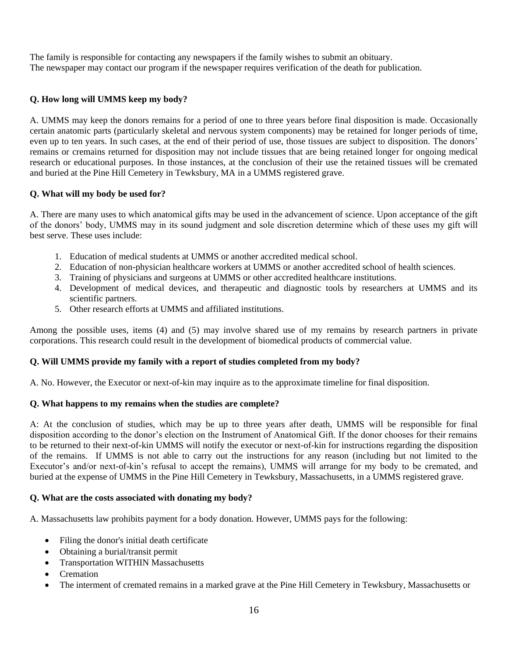The family is responsible for contacting any newspapers if the family wishes to submit an obituary. The newspaper may contact our program if the newspaper requires verification of the death for publication.

#### **Q. How long will UMMS keep my body?**

A. UMMS may keep the donors remains for a period of one to three years before final disposition is made. Occasionally certain anatomic parts (particularly skeletal and nervous system components) may be retained for longer periods of time, even up to ten years. In such cases, at the end of their period of use, those tissues are subject to disposition. The donors' remains or cremains returned for disposition may not include tissues that are being retained longer for ongoing medical research or educational purposes. In those instances, at the conclusion of their use the retained tissues will be cremated and buried at the Pine Hill Cemetery in Tewksbury, MA in a UMMS registered grave.

#### **Q. What will my body be used for?**

A. There are many uses to which anatomical gifts may be used in the advancement of science. Upon acceptance of the gift of the donors' body, UMMS may in its sound judgment and sole discretion determine which of these uses my gift will best serve. These uses include:

- 1. Education of medical students at UMMS or another accredited medical school.
- 2. Education of non-physician healthcare workers at UMMS or another accredited school of health sciences.
- 3. Training of physicians and surgeons at UMMS or other accredited healthcare institutions.
- 4. Development of medical devices, and therapeutic and diagnostic tools by researchers at UMMS and its scientific partners.
- 5. Other research efforts at UMMS and affiliated institutions.

Among the possible uses, items (4) and (5) may involve shared use of my remains by research partners in private corporations. This research could result in the development of biomedical products of commercial value.

#### **Q. Will UMMS provide my family with a report of studies completed from my body?**

A. No. However, the Executor or next-of-kin may inquire as to the approximate timeline for final disposition.

#### **Q. What happens to my remains when the studies are complete?**

A: At the conclusion of studies, which may be up to three years after death, UMMS will be responsible for final disposition according to the donor's election on the Instrument of Anatomical Gift. If the donor chooses for their remains to be returned to their next-of-kin UMMS will notify the executor or next-of-kin for instructions regarding the disposition of the remains. If UMMS is not able to carry out the instructions for any reason (including but not limited to the Executor's and/or next-of-kin's refusal to accept the remains), UMMS will arrange for my body to be cremated, and buried at the expense of UMMS in the Pine Hill Cemetery in Tewksbury, Massachusetts, in a UMMS registered grave.

#### **Q. What are the costs associated with donating my body?**

A. Massachusetts law prohibits payment for a body donation. However, UMMS pays for the following:

- Filing the donor's initial death certificate
- Obtaining a burial/transit permit
- Transportation WITHIN Massachusetts
- Cremation
- The interment of cremated remains in a marked grave at the Pine Hill Cemetery in Tewksbury, Massachusetts or